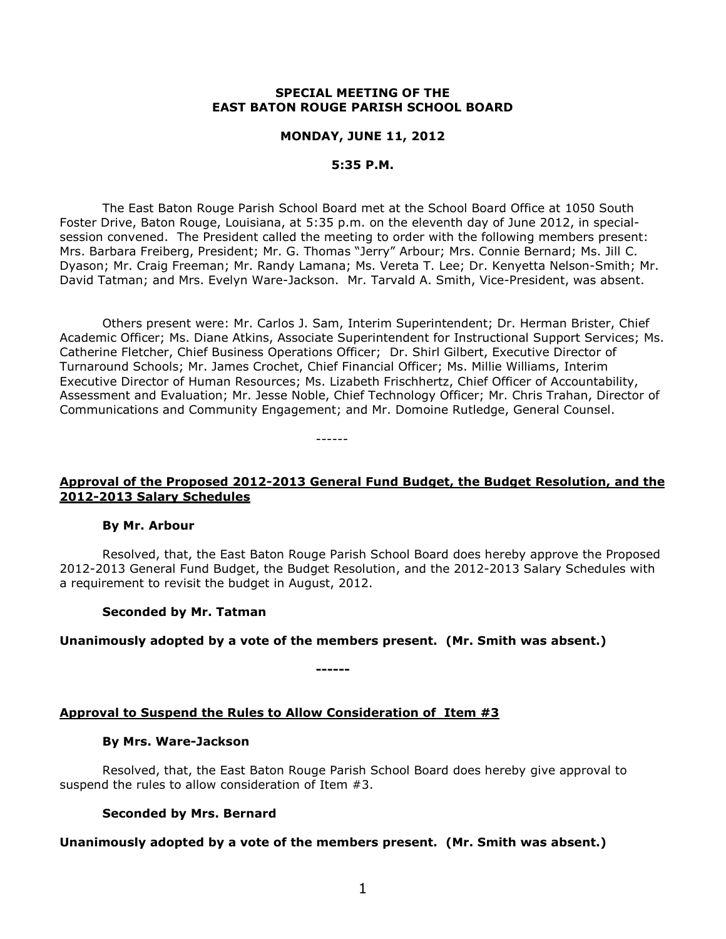### **SPECIAL MEETING OF THE EAST BATON ROUGE PARISH SCHOOL BOARD**

### **MONDAY, JUNE 11, 2012**

### **5:35 P.M.**

The East Baton Rouge Parish School Board met at the School Board Office at 1050 South Foster Drive, Baton Rouge, Louisiana, at 5:35 p.m. on the eleventh day of June 2012, in specialsession convened. The President called the meeting to order with the following members present: Mrs. Barbara Freiberg, President; Mr. G. Thomas "Jerry" Arbour; Mrs. Connie Bernard; Ms. Jill C. Dyason; Mr. Craig Freeman; Mr. Randy Lamana; Ms. Vereta T. Lee; Dr. Kenyetta Nelson-Smith; Mr. David Tatman; and Mrs. Evelyn Ware-Jackson. Mr. Tarvald A. Smith, Vice-President, was absent.

Others present were: Mr. Carlos J. Sam, Interim Superintendent; Dr. Herman Brister, Chief Academic Officer; Ms. Diane Atkins, Associate Superintendent for Instructional Support Services; Ms. Catherine Fletcher, Chief Business Operations Officer; Dr. Shirl Gilbert, Executive Director of Turnaround Schools; Mr. James Crochet, Chief Financial Officer; Ms. Millie Williams, Interim Executive Director of Human Resources; Ms. Lizabeth Frischhertz, Chief Officer of Accountability, Assessment and Evaluation; Mr. Jesse Noble, Chief Technology Officer; Mr. Chris Trahan, Director of Communications and Community Engagement; and Mr. Domoine Rutledge, General Counsel.

# **Approval of the Proposed 2012-2013 General Fund Budget, the Budget Resolution, and the 2012-2013 Salary Schedules**

------

#### **By Mr. Arbour**

Resolved, that, the East Baton Rouge Parish School Board does hereby approve the Proposed 2012-2013 General Fund Budget, the Budget Resolution, and the 2012-2013 Salary Schedules with a requirement to revisit the budget in August, 2012.

### **Seconded by Mr. Tatman**

### **Unanimously adopted by a vote of the members present. (Mr. Smith was absent.)**

**------**

### **Approval to Suspend the Rules to Allow Consideration of Item #3**

#### **By Mrs. Ware-Jackson**

Resolved, that, the East Baton Rouge Parish School Board does hereby give approval to suspend the rules to allow consideration of Item #3.

### **Seconded by Mrs. Bernard**

### **Unanimously adopted by a vote of the members present. (Mr. Smith was absent.)**